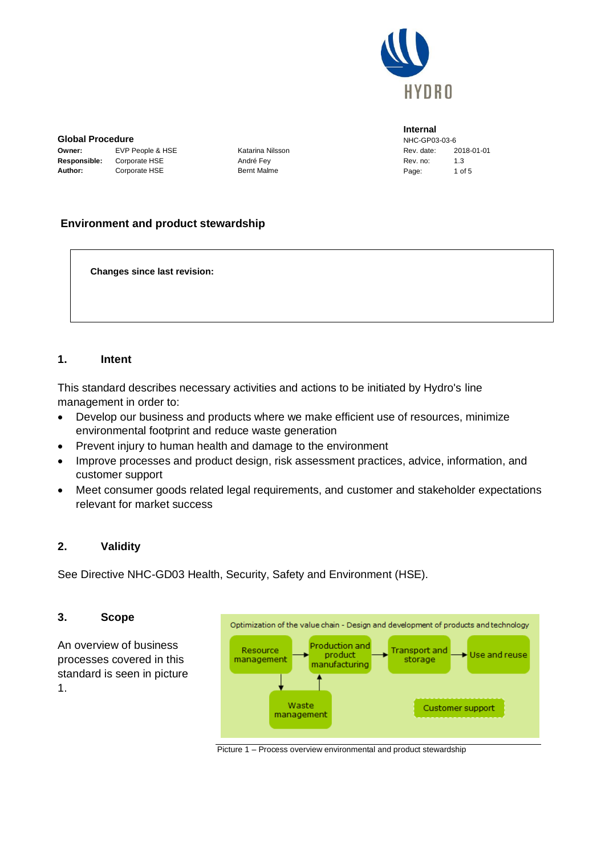

**Global Procedure Owner:** EVP People & HSE Katarina Nilsson

**Responsible:** Corporate HSE André Fey Author: Corporate HSE Bernt Malme

**Internal** NHC-GP03-03-6 Rev. date: 2018-01-01 Rev. no: 13 Page: 1 of 5

# **Environment and product stewardship**

**Changes since last revision:**

#### **1. Intent**

This standard describes necessary activities and actions to be initiated by Hydro's line management in order to:

- Develop our business and products where we make efficient use of resources, minimize environmental footprint and reduce waste generation
- Prevent injury to human health and damage to the environment
- Improve processes and product design, risk assessment practices, advice, information, and customer support
- Meet consumer goods related legal requirements, and customer and stakeholder expectations relevant for market success

#### **2. Validity**

See Directive NHC-GD03 Health, Security, Safety and Environment (HSE).

#### **3. Scope**

An overview of business processes covered in this standard is seen in picture 1.



Picture 1 – Process overview environmental and product stewardship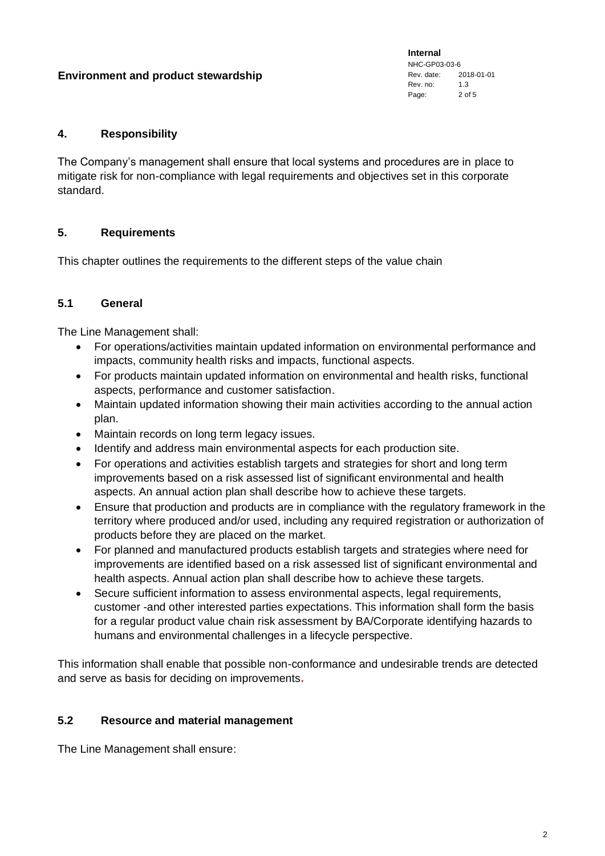**Internal** NHC-GP03-03-6 Rev. date: 2018-01-01 Rev. no: 1.3 Page: 2 of 5

### **4. Responsibility**

The Company's management shall ensure that local systems and procedures are in place to mitigate risk for non-compliance with legal requirements and objectives set in this corporate standard.

## **5. Requirements**

This chapter outlines the requirements to the different steps of the value chain

### **5.1 General**

The Line Management shall:

- For operations/activities maintain updated information on environmental performance and impacts, community health risks and impacts, functional aspects.
- For products maintain updated information on environmental and health risks, functional aspects, performance and customer satisfaction.
- Maintain updated information showing their main activities according to the annual action plan.
- Maintain records on long term legacy issues.
- Identify and address main environmental aspects for each production site.
- For operations and activities establish targets and strategies for short and long term improvements based on a risk assessed list of significant environmental and health aspects. An annual action plan shall describe how to achieve these targets.
- Ensure that production and products are in compliance with the regulatory framework in the territory where produced and/or used, including any required registration or authorization of products before they are placed on the market.
- For planned and manufactured products establish targets and strategies where need for improvements are identified based on a risk assessed list of significant environmental and health aspects. Annual action plan shall describe how to achieve these targets.
- Secure sufficient information to assess environmental aspects, legal requirements, customer -and other interested parties expectations. This information shall form the basis for a regular product value chain risk assessment by BA/Corporate identifying hazards to humans and environmental challenges in a lifecycle perspective.

This information shall enable that possible non-conformance and undesirable trends are detected and serve as basis for deciding on improvements**.**

# **5.2 Resource and material management**

The Line Management shall ensure: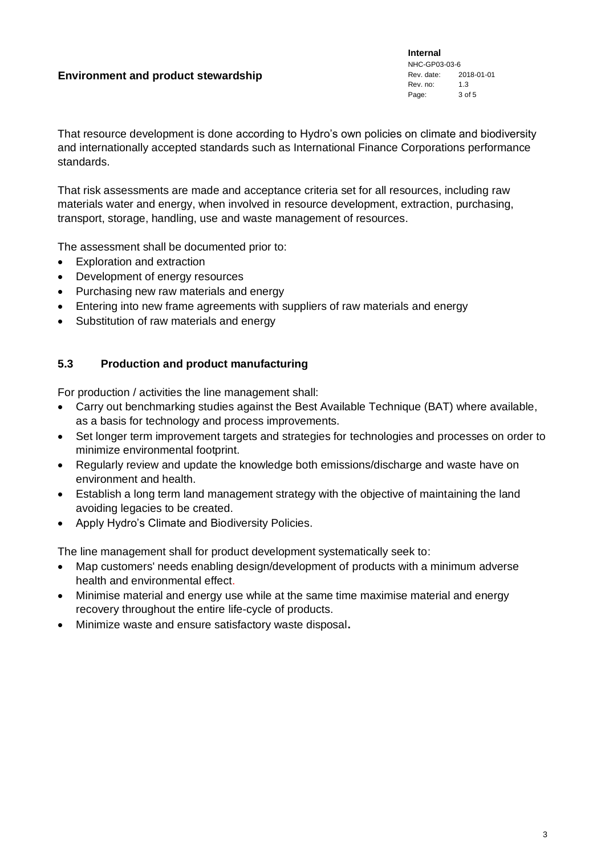**Internal** NHC-GP03-03-6 Rev. date: 2018-01-01 Rev. no: 1.3 Page: 3 of 5

That resource development is done according to Hydro's own policies on climate and biodiversity and internationally accepted standards such as International Finance Corporations performance standards.

That risk assessments are made and acceptance criteria set for all resources, including raw materials water and energy, when involved in resource development, extraction, purchasing, transport, storage, handling, use and waste management of resources.

The assessment shall be documented prior to:

- Exploration and extraction
- Development of energy resources
- Purchasing new raw materials and energy
- Entering into new frame agreements with suppliers of raw materials and energy
- Substitution of raw materials and energy

### **5.3 Production and product manufacturing**

For production / activities the line management shall:

- Carry out benchmarking studies against the Best Available Technique (BAT) where available, as a basis for technology and process improvements.
- Set longer term improvement targets and strategies for technologies and processes on order to minimize environmental footprint.
- Regularly review and update the knowledge both emissions/discharge and waste have on environment and health.
- Establish a long term land management strategy with the objective of maintaining the land avoiding legacies to be created.
- Apply Hydro's Climate and Biodiversity Policies.

The line management shall for product development systematically seek to:

- Map customers' needs enabling design/development of products with a minimum adverse health and environmental effect.
- Minimise material and energy use while at the same time maximise material and energy recovery throughout the entire life-cycle of products.
- Minimize waste and ensure satisfactory waste disposal**.**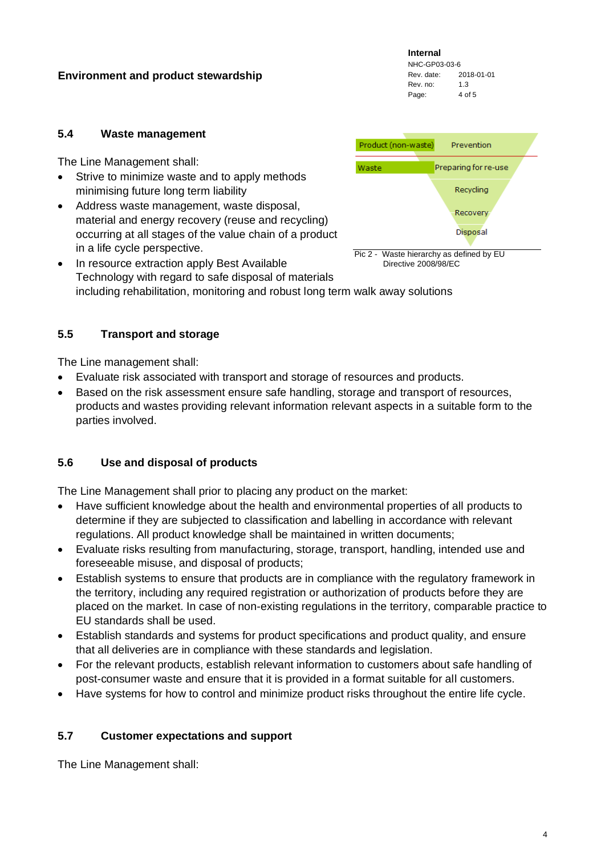**Internal** NHC-GP03-03-6 Rev. date: 2018-01-01 Rev. no: 1.3 Page: 4 of 5

#### **5.4 Waste management**

The Line Management shall:

- Strive to minimize waste and to apply methods minimising future long term liability
- Address waste management, waste disposal, material and energy recovery (reuse and recycling) occurring at all stages of the value chain of a product in a life cycle perspective.



• In resource extraction apply Best Available Technology with regard to safe disposal of materials including rehabilitation, monitoring and robust long term walk away solutions Directive 2008/98/EC

### **5.5 Transport and storage**

The Line management shall:

- Evaluate risk associated with transport and storage of resources and products.
- Based on the risk assessment ensure safe handling, storage and transport of resources, products and wastes providing relevant information relevant aspects in a suitable form to the parties involved.

# **5.6 Use and disposal of products**

The Line Management shall prior to placing any product on the market:

- Have sufficient knowledge about the health and environmental properties of all products to determine if they are subjected to classification and labelling in accordance with relevant regulations. All product knowledge shall be maintained in written documents;
- Evaluate risks resulting from manufacturing, storage, transport, handling, intended use and foreseeable misuse, and disposal of products;
- Establish systems to ensure that products are in compliance with the regulatory framework in the territory, including any required registration or authorization of products before they are placed on the market. In case of non-existing regulations in the territory, comparable practice to EU standards shall be used.
- Establish standards and systems for product specifications and product quality, and ensure that all deliveries are in compliance with these standards and legislation.
- For the relevant products, establish relevant information to customers about safe handling of post-consumer waste and ensure that it is provided in a format suitable for all customers.
- Have systems for how to control and minimize product risks throughout the entire life cycle.

#### **5.7 Customer expectations and support**

The Line Management shall: